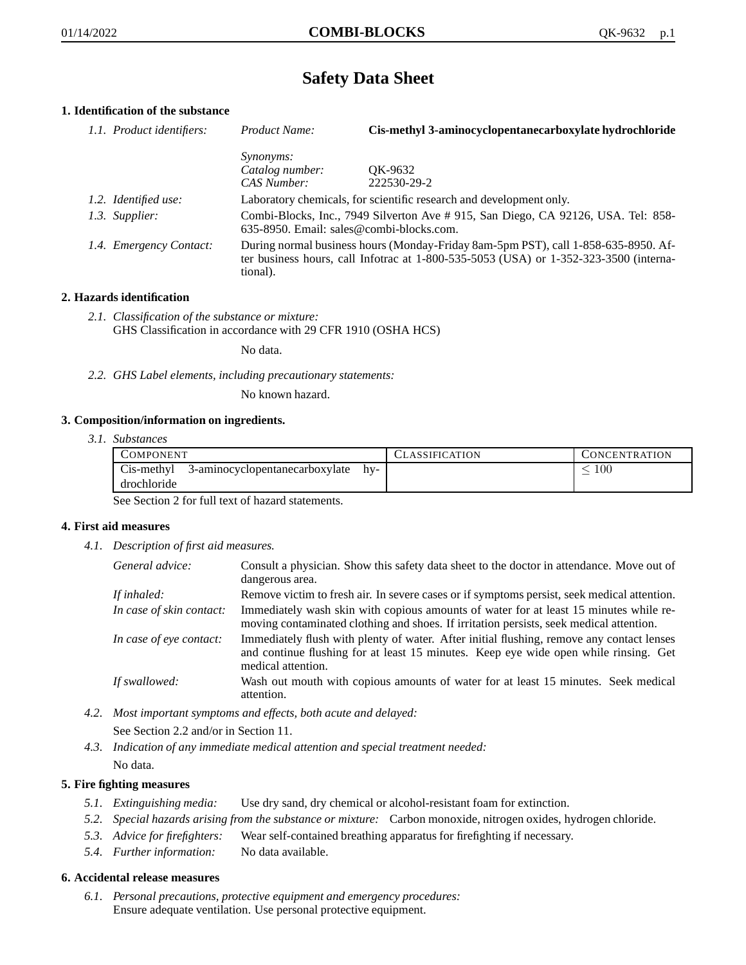# **Safety Data Sheet**

# **1. Identification of the substance**

| 1.1. Product identifiers: | Product Name:                                                                                                                                                                           | Cis-methyl 3-aminocyclopentanecarboxylate hydrochloride                                                                         |
|---------------------------|-----------------------------------------------------------------------------------------------------------------------------------------------------------------------------------------|---------------------------------------------------------------------------------------------------------------------------------|
|                           | <i>Synonyms:</i>                                                                                                                                                                        |                                                                                                                                 |
|                           | Catalog number:                                                                                                                                                                         | OK-9632                                                                                                                         |
|                           | CAS Number:                                                                                                                                                                             | 222530-29-2                                                                                                                     |
| 1.2. Identified use:      |                                                                                                                                                                                         | Laboratory chemicals, for scientific research and development only.                                                             |
| 1.3. Supplier:            |                                                                                                                                                                                         | Combi-Blocks, Inc., 7949 Silverton Ave #915, San Diego, CA 92126, USA. Tel: 858-<br>$635-8950$ . Email: sales@combi-blocks.com. |
| 1.4. Emergency Contact:   | During normal business hours (Monday-Friday 8am-5pm PST), call 1-858-635-8950. Af-<br>ter business hours, call Infotrac at 1-800-535-5053 (USA) or 1-352-323-3500 (interna-<br>tional). |                                                                                                                                 |

### **2. Hazards identification**

*2.1. Classification of the substance or mixture:* GHS Classification in accordance with 29 CFR 1910 (OSHA HCS)

No data.

*2.2. GHS Label elements, including precautionary statements:*

No known hazard.

### **3. Composition/information on ingredients.**

*3.1. Substances*

| <b>COMPONENT</b>                                            |     | CLASSIFICATION | <b>CONCENTRATION</b> |
|-------------------------------------------------------------|-----|----------------|----------------------|
| Cis-methyl<br>3-aminocyclopentanecarboxylate<br>drochloride | hv- |                | $100\,$              |

See Section 2 for full text of hazard statements.

### **4. First aid measures**

*4.1. Description of first aid measures.*

| General advice:          | Consult a physician. Show this safety data sheet to the doctor in attendance. Move out of<br>dangerous area.                                                                                            |
|--------------------------|---------------------------------------------------------------------------------------------------------------------------------------------------------------------------------------------------------|
| If inhaled:              | Remove victim to fresh air. In severe cases or if symptoms persist, seek medical attention.                                                                                                             |
| In case of skin contact: | Immediately wash skin with copious amounts of water for at least 15 minutes while re-<br>moving contaminated clothing and shoes. If irritation persists, seek medical attention.                        |
| In case of eye contact:  | Immediately flush with plenty of water. After initial flushing, remove any contact lenses<br>and continue flushing for at least 15 minutes. Keep eye wide open while rinsing. Get<br>medical attention. |
| If swallowed:            | Wash out mouth with copious amounts of water for at least 15 minutes. Seek medical<br>attention.                                                                                                        |

- *4.2. Most important symptoms and effects, both acute and delayed:* See Section 2.2 and/or in Section 11.
- *4.3. Indication of any immediate medical attention and special treatment needed:* No data.

## **5. Fire fighting measures**

- *5.1. Extinguishing media:* Use dry sand, dry chemical or alcohol-resistant foam for extinction.
- *5.2. Special hazards arising from the substance or mixture:* Carbon monoxide, nitrogen oxides, hydrogen chloride.
- *5.3. Advice for firefighters:* Wear self-contained breathing apparatus for firefighting if necessary.
- *5.4. Further information:* No data available.

### **6. Accidental release measures**

*6.1. Personal precautions, protective equipment and emergency procedures:* Ensure adequate ventilation. Use personal protective equipment.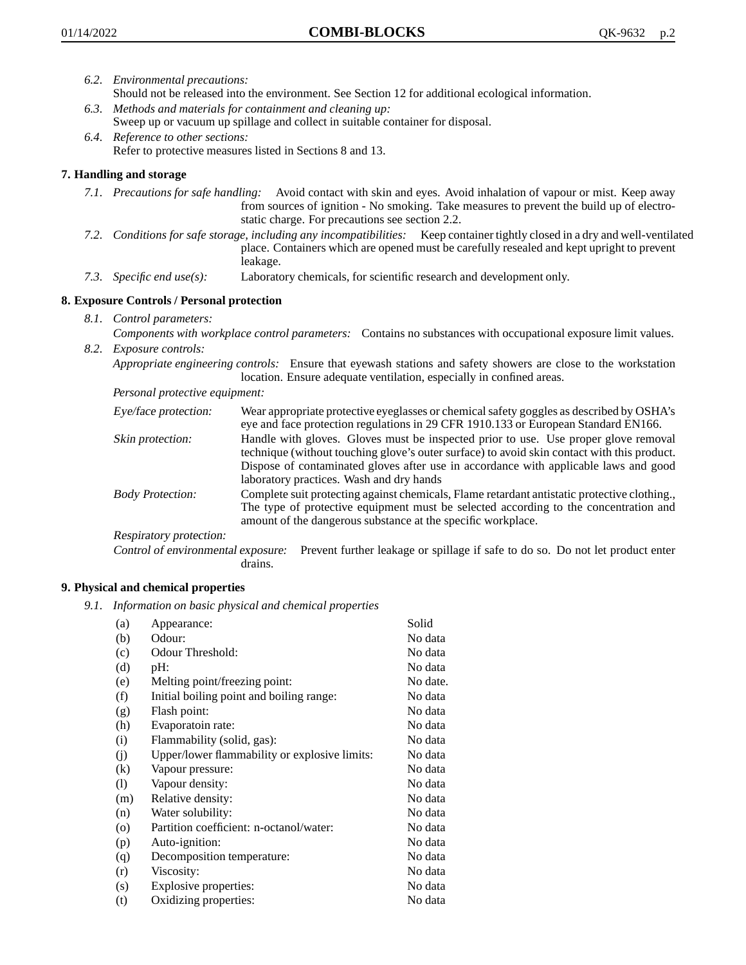- *6.2. Environmental precautions:* Should not be released into the environment. See Section 12 for additional ecological information.
- *6.3. Methods and materials for containment and cleaning up:* Sweep up or vacuum up spillage and collect in suitable container for disposal.
- *6.4. Reference to other sections:* Refer to protective measures listed in Sections 8 and 13.

## **7. Handling and storage**

- *7.1. Precautions for safe handling:* Avoid contact with skin and eyes. Avoid inhalation of vapour or mist. Keep away from sources of ignition - No smoking. Take measures to prevent the build up of electrostatic charge. For precautions see section 2.2.
- *7.2. Conditions for safe storage, including any incompatibilities:* Keep container tightly closed in a dry and well-ventilated place. Containers which are opened must be carefully resealed and kept upright to prevent leakage.
- *7.3. Specific end use(s):* Laboratory chemicals, for scientific research and development only.

## **8. Exposure Controls / Personal protection**

- *8.1. Control parameters:*
- *Components with workplace control parameters:* Contains no substances with occupational exposure limit values. *8.2. Exposure controls:*

*Appropriate engineering controls:* Ensure that eyewash stations and safety showers are close to the workstation location. Ensure adequate ventilation, especially in confined areas.

*Personal protective equipment:*

| Eye/face protection:    | Wear appropriate protective eyeglasses or chemical safety goggles as described by OSHA's<br>eye and face protection regulations in 29 CFR 1910.133 or European Standard EN166.                                                                                                                                         |
|-------------------------|------------------------------------------------------------------------------------------------------------------------------------------------------------------------------------------------------------------------------------------------------------------------------------------------------------------------|
| Skin protection:        | Handle with gloves. Gloves must be inspected prior to use. Use proper glove removal<br>technique (without touching glove's outer surface) to avoid skin contact with this product.<br>Dispose of contaminated gloves after use in accordance with applicable laws and good<br>laboratory practices. Wash and dry hands |
| <b>Body Protection:</b> | Complete suit protecting against chemicals, Flame retardant antistatic protective clothing.,<br>The type of protective equipment must be selected according to the concentration and<br>amount of the dangerous substance at the specific workplace.                                                                   |
| Respiratory protection: |                                                                                                                                                                                                                                                                                                                        |

Control of environmental exposure: Prevent further leakage or spillage if safe to do so. Do not let product enter drains.

### **9. Physical and chemical properties**

*9.1. Information on basic physical and chemical properties*

| (a)                | Appearance:                                   | Solid    |
|--------------------|-----------------------------------------------|----------|
| (b)                | Odour:                                        | No data  |
| (c)                | Odour Threshold:                              | No data  |
| (d)                | pH:                                           | No data  |
| (e)                | Melting point/freezing point:                 | No date. |
| (f)                | Initial boiling point and boiling range:      | No data  |
| (g)                | Flash point:                                  | No data  |
| (h)                | Evaporatoin rate:                             | No data  |
| (i)                | Flammability (solid, gas):                    | No data  |
| (j)                | Upper/lower flammability or explosive limits: | No data  |
| (k)                | Vapour pressure:                              | No data  |
| (1)                | Vapour density:                               | No data  |
| (m)                | Relative density:                             | No data  |
| (n)                | Water solubility:                             | No data  |
| $\left( 0 \right)$ | Partition coefficient: n-octanol/water:       | No data  |
| (p)                | Auto-ignition:                                | No data  |
| (q)                | Decomposition temperature:                    | No data  |
| (r)                | Viscosity:                                    | No data  |
| (s)                | Explosive properties:                         | No data  |
| (t)                | Oxidizing properties:                         | No data  |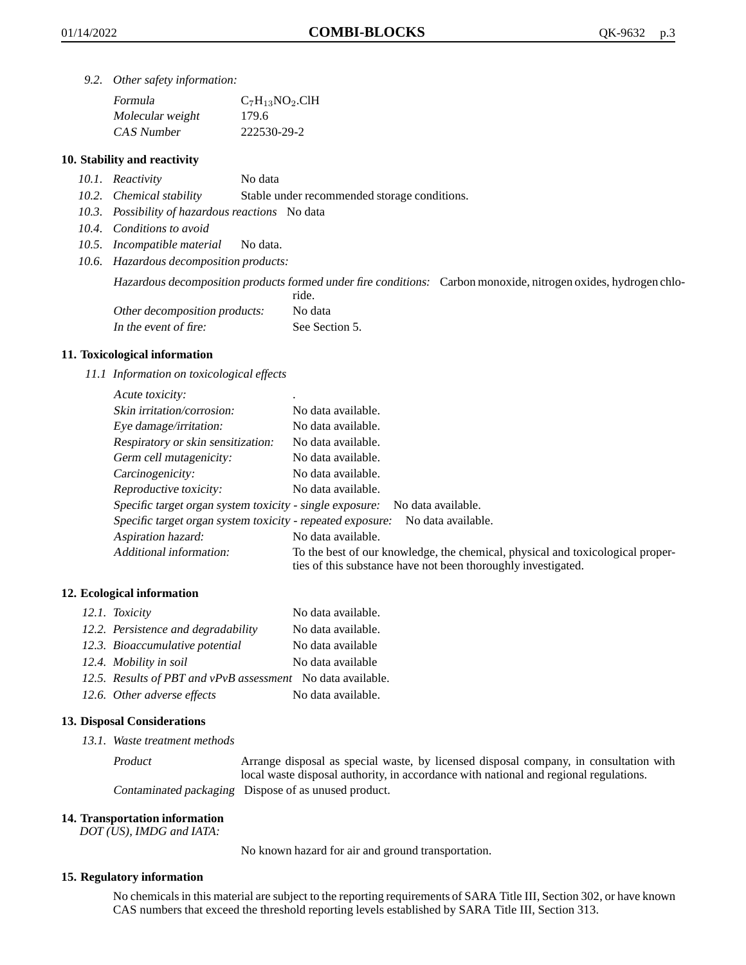*9.2. Other safety information:*

| Formula          | $C_7H_{13}NO_2$ .ClH |
|------------------|----------------------|
| Molecular weight | 179.6                |
| CAS Number       | 222530-29-2          |

### **10. Stability and reactivity**

- *10.1. Reactivity* No data
- *10.2. Chemical stability* Stable under recommended storage conditions.
- *10.3. Possibility of hazardous reactions* No data
- *10.4. Conditions to avoid*
- *10.5. Incompatible material* No data.
- *10.6. Hazardous decomposition products:*

Hazardous decomposition products formed under fire conditions: Carbon monoxide, nitrogen oxides, hydrogen chlo-

|                               | ride.          |
|-------------------------------|----------------|
| Other decomposition products: | No data        |
| In the event of fire:         | See Section 5. |

### **11. Toxicological information**

*11.1 Information on toxicological effects*

| Acute toxicity:                                            | $\bullet$                                                                                                                                       |
|------------------------------------------------------------|-------------------------------------------------------------------------------------------------------------------------------------------------|
| Skin irritation/corrosion:                                 | No data available.                                                                                                                              |
| Eye damage/irritation:                                     | No data available.                                                                                                                              |
| Respiratory or skin sensitization:                         | No data available.                                                                                                                              |
| Germ cell mutagenicity:                                    | No data available.                                                                                                                              |
| Carcinogenicity:                                           | No data available.                                                                                                                              |
| Reproductive toxicity:                                     | No data available.                                                                                                                              |
| Specific target organ system toxicity - single exposure:   | No data available.                                                                                                                              |
| Specific target organ system toxicity - repeated exposure: | No data available.                                                                                                                              |
| Aspiration hazard:                                         | No data available.                                                                                                                              |
| Additional information:                                    | To the best of our knowledge, the chemical, physical and toxicological proper-<br>ties of this substance have not been thoroughly investigated. |

### **12. Ecological information**

| 12.1. Toxicity                                              | No data available. |
|-------------------------------------------------------------|--------------------|
| 12.2. Persistence and degradability                         | No data available. |
| 12.3. Bioaccumulative potential                             | No data available  |
| 12.4. Mobility in soil                                      | No data available  |
| 12.5. Results of PBT and vPvB assessment No data available. |                    |
| 12.6. Other adverse effects                                 | No data available. |

#### **13. Disposal Considerations**

*13.1. Waste treatment methods*

Product Arrange disposal as special waste, by licensed disposal company, in consultation with local waste disposal authority, in accordance with national and regional regulations. Contaminated packaging Dispose of as unused product.

#### **14. Transportation information**

*DOT (US), IMDG and IATA:*

No known hazard for air and ground transportation.

#### **15. Regulatory information**

No chemicals in this material are subject to the reporting requirements of SARA Title III, Section 302, or have known CAS numbers that exceed the threshold reporting levels established by SARA Title III, Section 313.